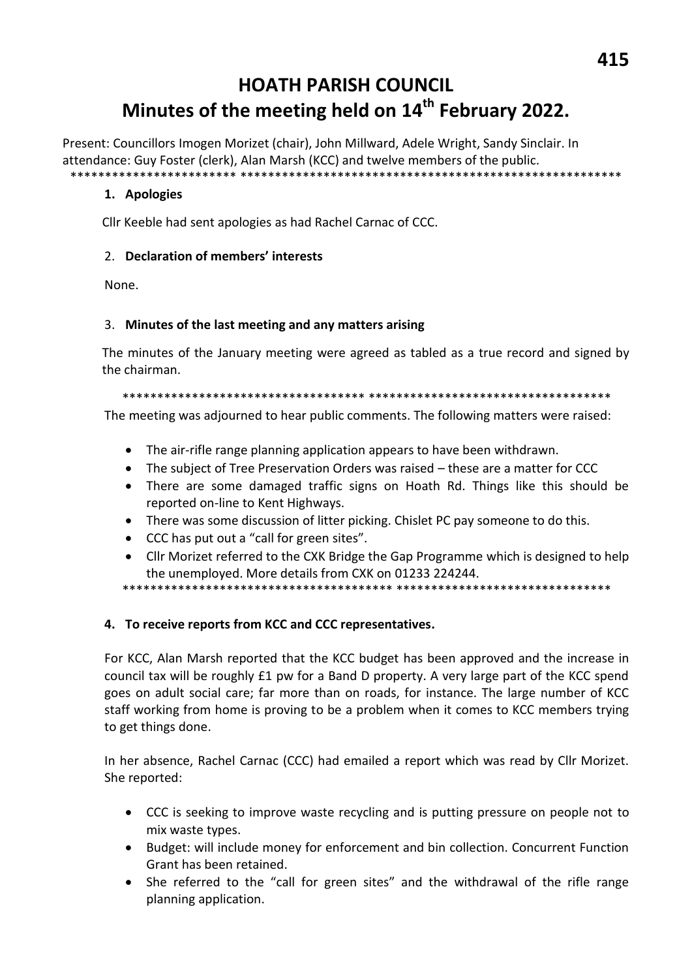# **HOATH PARISH COUNCIL** Minutes of the meeting held on 14<sup>th</sup> February 2022.

Present: Councillors Imogen Morizet (chair), John Millward, Adele Wright, Sandy Sinclair. In attendance: Guy Foster (clerk), Alan Marsh (KCC) and twelve members of the public. \*\*\*\*\*\*\*

# 1. Apologies

Cllr Keeble had sent apologies as had Rachel Carnac of CCC.

# 2. Declaration of members' interests

None.

#### 3. Minutes of the last meeting and any matters arising

The minutes of the January meeting were agreed as tabled as a true record and signed by the chairman.

The meeting was adjourned to hear public comments. The following matters were raised:

- The air-rifle range planning application appears to have been withdrawn.
- The subject of Tree Preservation Orders was raised these are a matter for CCC
- There are some damaged traffic signs on Hoath Rd. Things like this should be reported on-line to Kent Highways.
- There was some discussion of litter picking. Chislet PC pay someone to do this.
- $\bullet$ CCC has put out a "call for green sites".
- Cllr Morizet referred to the CXK Bridge the Gap Programme which is designed to help the unemployed. More details from CXK on 01233 224244.

#### 4. To receive reports from KCC and CCC representatives.

For KCC, Alan Marsh reported that the KCC budget has been approved and the increase in council tax will be roughly £1 pw for a Band D property. A very large part of the KCC spend goes on adult social care; far more than on roads, for instance. The large number of KCC staff working from home is proving to be a problem when it comes to KCC members trying to get things done.

In her absence, Rachel Carnac (CCC) had emailed a report which was read by Cllr Morizet. She reported:

- CCC is seeking to improve waste recycling and is putting pressure on people not to mix waste types.
- Budget: will include money for enforcement and bin collection. Concurrent Function  $\bullet$ Grant has been retained.
- $\bullet$ She referred to the "call for green sites" and the withdrawal of the rifle range planning application.